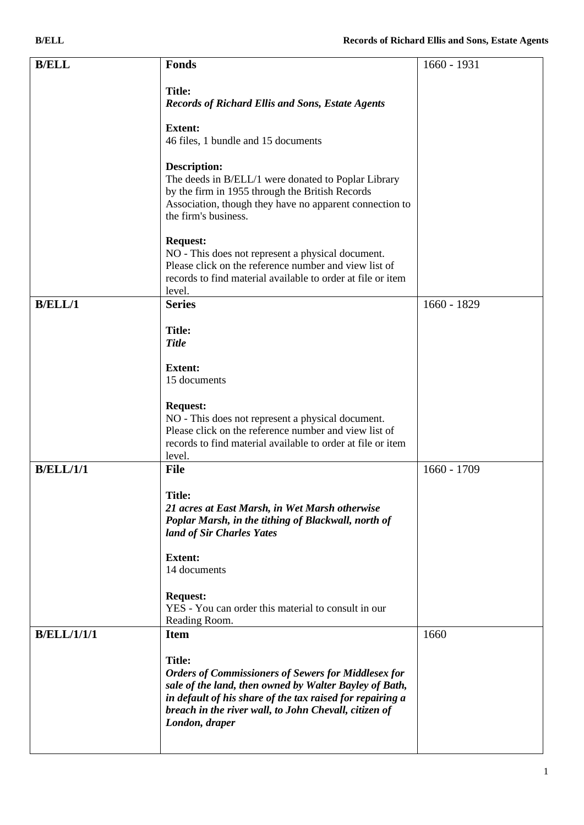| <b>B/ELL</b>       | <b>Fonds</b>                                                                                                                                                                                                                                                | 1660 - 1931   |
|--------------------|-------------------------------------------------------------------------------------------------------------------------------------------------------------------------------------------------------------------------------------------------------------|---------------|
|                    | <b>Title:</b><br><b>Records of Richard Ellis and Sons, Estate Agents</b>                                                                                                                                                                                    |               |
|                    | <b>Extent:</b><br>46 files, 1 bundle and 15 documents                                                                                                                                                                                                       |               |
|                    | <b>Description:</b><br>The deeds in B/ELL/1 were donated to Poplar Library<br>by the firm in 1955 through the British Records<br>Association, though they have no apparent connection to<br>the firm's business.                                            |               |
|                    | <b>Request:</b><br>NO - This does not represent a physical document.<br>Please click on the reference number and view list of<br>records to find material available to order at file or item<br>level.                                                      |               |
| B/ELL/1            | <b>Series</b>                                                                                                                                                                                                                                               | 1660 - 1829   |
|                    | <b>Title:</b><br><b>Title</b>                                                                                                                                                                                                                               |               |
|                    | <b>Extent:</b><br>15 documents                                                                                                                                                                                                                              |               |
|                    | <b>Request:</b><br>NO - This does not represent a physical document.<br>Please click on the reference number and view list of<br>records to find material available to order at file or item<br>level.                                                      |               |
| <b>B/ELL/1/1</b>   | <b>File</b>                                                                                                                                                                                                                                                 | $1660 - 1709$ |
|                    | Title:<br>21 acres at East Marsh, in Wet Marsh otherwise<br>Poplar Marsh, in the tithing of Blackwall, north of<br>land of Sir Charles Yates                                                                                                                |               |
|                    | <b>Extent:</b><br>14 documents                                                                                                                                                                                                                              |               |
|                    | <b>Request:</b><br>YES - You can order this material to consult in our<br>Reading Room.                                                                                                                                                                     |               |
| <b>B/ELL/1/1/1</b> | <b>Item</b>                                                                                                                                                                                                                                                 | 1660          |
|                    | <b>Title:</b><br><b>Orders of Commissioners of Sewers for Middlesex for</b><br>sale of the land, then owned by Walter Bayley of Bath,<br>in default of his share of the tax raised for repairing a<br>breach in the river wall, to John Chevall, citizen of |               |

*London, draper*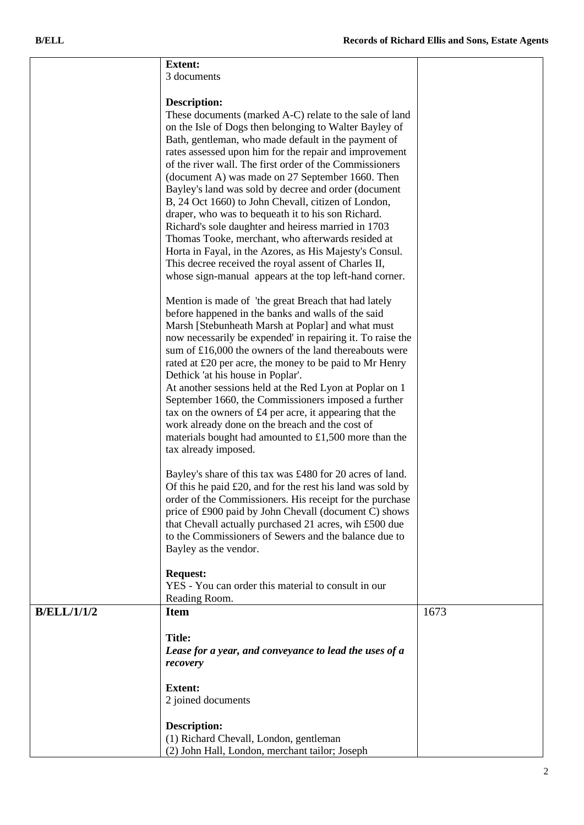|                    | <b>Extent:</b><br>3 documents                                                                                     |      |
|--------------------|-------------------------------------------------------------------------------------------------------------------|------|
|                    |                                                                                                                   |      |
|                    | Description:                                                                                                      |      |
|                    | These documents (marked A-C) relate to the sale of land                                                           |      |
|                    | on the Isle of Dogs then belonging to Walter Bayley of                                                            |      |
|                    | Bath, gentleman, who made default in the payment of                                                               |      |
|                    | rates assessed upon him for the repair and improvement                                                            |      |
|                    | of the river wall. The first order of the Commissioners<br>(document A) was made on 27 September 1660. Then       |      |
|                    | Bayley's land was sold by decree and order (document                                                              |      |
|                    | B, 24 Oct 1660) to John Chevall, citizen of London,                                                               |      |
|                    | draper, who was to bequeath it to his son Richard.                                                                |      |
|                    | Richard's sole daughter and heiress married in 1703                                                               |      |
|                    | Thomas Tooke, merchant, who afterwards resided at                                                                 |      |
|                    | Horta in Fayal, in the Azores, as His Majesty's Consul.                                                           |      |
|                    | This decree received the royal assent of Charles II,<br>whose sign-manual appears at the top left-hand corner.    |      |
|                    |                                                                                                                   |      |
|                    | Mention is made of 'the great Breach that had lately                                                              |      |
|                    | before happened in the banks and walls of the said                                                                |      |
|                    | Marsh [Stebunheath Marsh at Poplar] and what must                                                                 |      |
|                    | now necessarily be expended' in repairing it. To raise the                                                        |      |
|                    | sum of £16,000 the owners of the land thereabouts were<br>rated at £20 per acre, the money to be paid to Mr Henry |      |
|                    | Dethick 'at his house in Poplar'.                                                                                 |      |
|                    | At another sessions held at the Red Lyon at Poplar on 1                                                           |      |
|                    | September 1660, the Commissioners imposed a further                                                               |      |
|                    | tax on the owners of £4 per acre, it appearing that the                                                           |      |
|                    | work already done on the breach and the cost of                                                                   |      |
|                    | materials bought had amounted to £1,500 more than the<br>tax already imposed.                                     |      |
|                    |                                                                                                                   |      |
|                    | Bayley's share of this tax was £480 for 20 acres of land.                                                         |      |
|                    | Of this he paid £20, and for the rest his land was sold by                                                        |      |
|                    | order of the Commissioners. His receipt for the purchase                                                          |      |
|                    | price of £900 paid by John Chevall (document C) shows                                                             |      |
|                    | that Chevall actually purchased 21 acres, wih £500 due<br>to the Commissioners of Sewers and the balance due to   |      |
|                    | Bayley as the vendor.                                                                                             |      |
|                    |                                                                                                                   |      |
|                    | <b>Request:</b>                                                                                                   |      |
|                    | YES - You can order this material to consult in our                                                               |      |
|                    | Reading Room.                                                                                                     |      |
| <b>B/ELL/1/1/2</b> | <b>Item</b>                                                                                                       | 1673 |
|                    | <b>Title:</b>                                                                                                     |      |
|                    | Lease for a year, and conveyance to lead the uses of a                                                            |      |
|                    | recovery                                                                                                          |      |
|                    | <b>Extent:</b>                                                                                                    |      |
|                    | 2 joined documents                                                                                                |      |
|                    |                                                                                                                   |      |
|                    | <b>Description:</b>                                                                                               |      |
|                    | (1) Richard Chevall, London, gentleman                                                                            |      |
|                    | (2) John Hall, London, merchant tailor; Joseph                                                                    |      |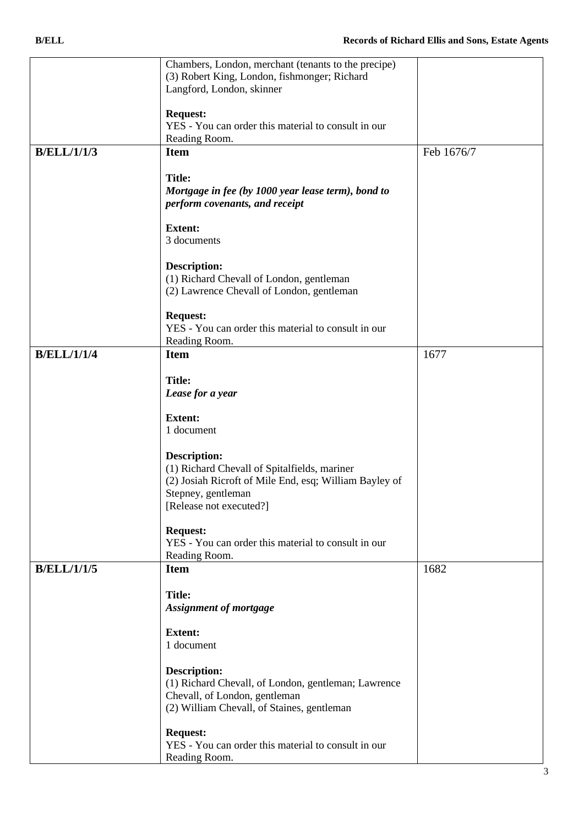|                    | Chambers, London, merchant (tenants to the precipe)<br>(3) Robert King, London, fishmonger; Richard<br>Langford, London, skinner                                                                                                                                                                                                               |            |
|--------------------|------------------------------------------------------------------------------------------------------------------------------------------------------------------------------------------------------------------------------------------------------------------------------------------------------------------------------------------------|------------|
|                    | <b>Request:</b><br>YES - You can order this material to consult in our<br>Reading Room.                                                                                                                                                                                                                                                        |            |
|                    |                                                                                                                                                                                                                                                                                                                                                |            |
| <b>B/ELL/1/1/3</b> | <b>Item</b><br><b>Title:</b><br>Mortgage in fee (by 1000 year lease term), bond to<br>perform covenants, and receipt                                                                                                                                                                                                                           | Feb 1676/7 |
|                    | <b>Extent:</b>                                                                                                                                                                                                                                                                                                                                 |            |
|                    | 3 documents                                                                                                                                                                                                                                                                                                                                    |            |
|                    | <b>Description:</b><br>(1) Richard Chevall of London, gentleman<br>(2) Lawrence Chevall of London, gentleman                                                                                                                                                                                                                                   |            |
|                    | <b>Request:</b><br>YES - You can order this material to consult in our<br>Reading Room.                                                                                                                                                                                                                                                        |            |
| <b>B/ELL/1/1/4</b> | <b>Item</b>                                                                                                                                                                                                                                                                                                                                    | 1677       |
|                    | <b>Title:</b><br>Lease for a year<br><b>Extent:</b><br>1 document<br><b>Description:</b><br>(1) Richard Chevall of Spitalfields, mariner<br>(2) Josiah Ricroft of Mile End, esq; William Bayley of<br>Stepney, gentleman<br>[Release not executed?]<br><b>Request:</b><br>YES - You can order this material to consult in our<br>Reading Room. |            |
| <b>B/ELL/1/1/5</b> | <b>Item</b>                                                                                                                                                                                                                                                                                                                                    | 1682       |
|                    | <b>Title:</b><br><b>Assignment of mortgage</b><br><b>Extent:</b><br>1 document                                                                                                                                                                                                                                                                 |            |
|                    | <b>Description:</b><br>(1) Richard Chevall, of London, gentleman; Lawrence<br>Chevall, of London, gentleman<br>(2) William Chevall, of Staines, gentleman                                                                                                                                                                                      |            |
|                    | <b>Request:</b><br>YES - You can order this material to consult in our<br>Reading Room.                                                                                                                                                                                                                                                        |            |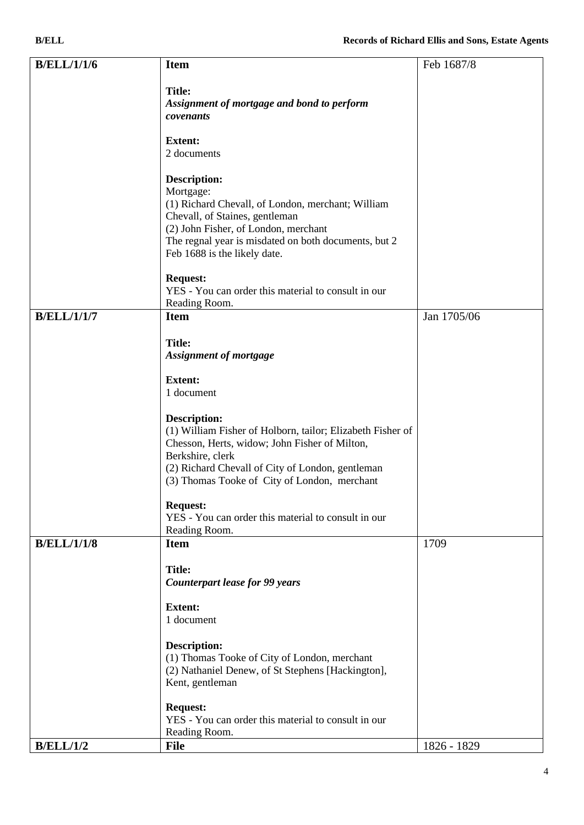| <b>B/ELL</b>       |                                                                                                                                                                                                                                                         | <b>Records of Richard Ellis and Sons, Estate Agents</b> |
|--------------------|---------------------------------------------------------------------------------------------------------------------------------------------------------------------------------------------------------------------------------------------------------|---------------------------------------------------------|
| <b>B/ELL/1/1/6</b> | <b>Item</b>                                                                                                                                                                                                                                             | Feb 1687/8                                              |
|                    | <b>Title:</b><br>Assignment of mortgage and bond to perform<br>covenants                                                                                                                                                                                |                                                         |
|                    | <b>Extent:</b><br>2 documents                                                                                                                                                                                                                           |                                                         |
|                    | <b>Description:</b><br>Mortgage:<br>(1) Richard Chevall, of London, merchant; William<br>Chevall, of Staines, gentleman<br>(2) John Fisher, of London, merchant<br>The regnal year is misdated on both documents, but 2<br>Feb 1688 is the likely date. |                                                         |
|                    | <b>Request:</b><br>YES - You can order this material to consult in our<br>Reading Room.                                                                                                                                                                 |                                                         |
| <b>B/ELL/1/1/7</b> | <b>Item</b>                                                                                                                                                                                                                                             | Jan 1705/06                                             |
|                    | <b>Title:</b><br><b>Assignment of mortgage</b>                                                                                                                                                                                                          |                                                         |
|                    | <b>Extent:</b><br>1 document                                                                                                                                                                                                                            |                                                         |
|                    | <b>Description:</b><br>(1) William Fisher of Holborn, tailor; Elizabeth Fisher of                                                                                                                                                                       |                                                         |

| B/ELL/1/2          | <b>File</b>                                                                                      | 1826 - 1829 |
|--------------------|--------------------------------------------------------------------------------------------------|-------------|
|                    | YES - You can order this material to consult in our<br>Reading Room.                             |             |
|                    | <b>Request:</b>                                                                                  |             |
|                    |                                                                                                  |             |
|                    | (2) Nathaniel Denew, of St Stephens [Hackington],<br>Kent, gentleman                             |             |
|                    | (1) Thomas Tooke of City of London, merchant                                                     |             |
|                    | <b>Description:</b>                                                                              |             |
|                    | 1 document                                                                                       |             |
|                    | <b>Extent:</b>                                                                                   |             |
|                    | <b>Counterpart lease for 99 years</b>                                                            |             |
|                    | <b>Title:</b>                                                                                    |             |
| <b>B/ELL/1/1/8</b> | <b>Item</b>                                                                                      | 1709        |
|                    | Reading Room.                                                                                    |             |
|                    | <b>Request:</b><br>YES - You can order this material to consult in our                           |             |
|                    |                                                                                                  |             |
|                    | (2) Richard Chevall of City of London, gentleman<br>(3) Thomas Tooke of City of London, merchant |             |
|                    |                                                                                                  |             |

Chesson, Herts, widow; John Fisher of Milton,

Berkshire, clerk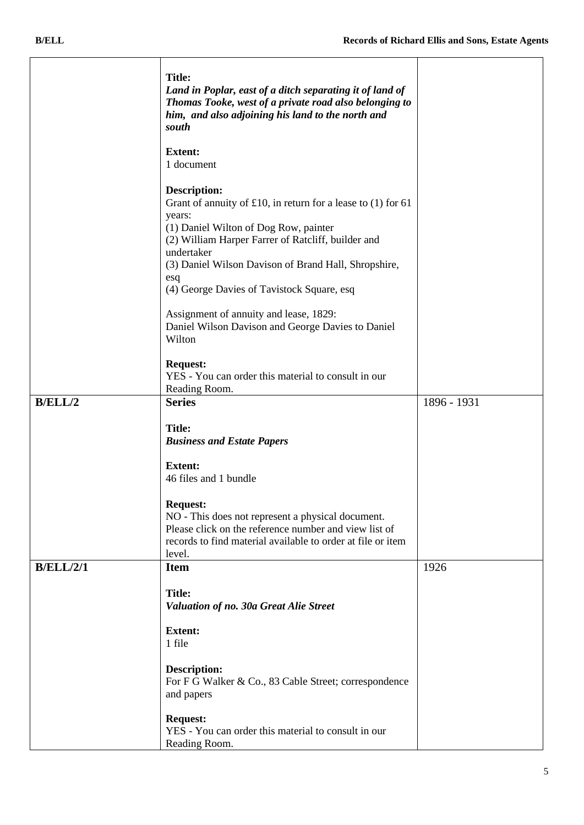|                  | <b>Title:</b><br>Land in Poplar, east of a ditch separating it of land of<br>Thomas Tooke, west of a private road also belonging to<br>him, and also adjoining his land to the north and<br>south                                                                                                                         |             |
|------------------|---------------------------------------------------------------------------------------------------------------------------------------------------------------------------------------------------------------------------------------------------------------------------------------------------------------------------|-------------|
|                  | <b>Extent:</b><br>1 document                                                                                                                                                                                                                                                                                              |             |
|                  | <b>Description:</b><br>Grant of annuity of £10, in return for a lease to $(1)$ for 61<br>years:<br>(1) Daniel Wilton of Dog Row, painter<br>(2) William Harper Farrer of Ratcliff, builder and<br>undertaker<br>(3) Daniel Wilson Davison of Brand Hall, Shropshire,<br>esq<br>(4) George Davies of Tavistock Square, esq |             |
|                  | Assignment of annuity and lease, 1829:<br>Daniel Wilson Davison and George Davies to Daniel<br>Wilton                                                                                                                                                                                                                     |             |
|                  | <b>Request:</b><br>YES - You can order this material to consult in our<br>Reading Room.                                                                                                                                                                                                                                   |             |
| B/ELL/2          | <b>Series</b>                                                                                                                                                                                                                                                                                                             | 1896 - 1931 |
|                  | <b>Title:</b><br><b>Business and Estate Papers</b>                                                                                                                                                                                                                                                                        |             |
|                  | <b>Extent:</b><br>46 files and 1 bundle                                                                                                                                                                                                                                                                                   |             |
|                  | <b>Request:</b><br>NO - This does not represent a physical document.<br>Please click on the reference number and view list of<br>records to find material available to order at file or item<br>level.                                                                                                                    |             |
| <b>B/ELL/2/1</b> | <b>Item</b>                                                                                                                                                                                                                                                                                                               | 1926        |
|                  | <b>Title:</b><br>Valuation of no. 30a Great Alie Street                                                                                                                                                                                                                                                                   |             |
|                  | <b>Extent:</b><br>1 file                                                                                                                                                                                                                                                                                                  |             |
|                  | <b>Description:</b><br>For F G Walker & Co., 83 Cable Street; correspondence<br>and papers                                                                                                                                                                                                                                |             |
|                  | <b>Request:</b><br>YES - You can order this material to consult in our<br>Reading Room.                                                                                                                                                                                                                                   |             |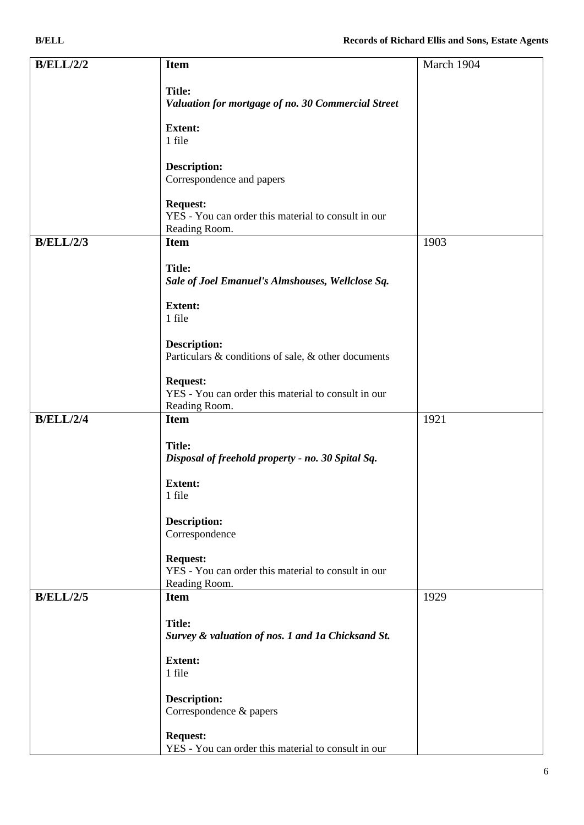| <b>B/ELL/2/2</b> | <b>Item</b>                                                                             | March 1904 |
|------------------|-----------------------------------------------------------------------------------------|------------|
|                  | <b>Title:</b><br>Valuation for mortgage of no. 30 Commercial Street                     |            |
|                  | <b>Extent:</b><br>1 file                                                                |            |
|                  | <b>Description:</b><br>Correspondence and papers                                        |            |
|                  | <b>Request:</b><br>YES - You can order this material to consult in our<br>Reading Room. |            |
| <b>B/ELL/2/3</b> | <b>Item</b>                                                                             | 1903       |
|                  | <b>Title:</b><br>Sale of Joel Emanuel's Almshouses, Wellclose Sq.                       |            |
|                  | <b>Extent:</b><br>1 file                                                                |            |
|                  | <b>Description:</b><br>Particulars & conditions of sale, & other documents              |            |
|                  | <b>Request:</b><br>YES - You can order this material to consult in our<br>Reading Room. |            |
| <b>B/ELL/2/4</b> | <b>Item</b>                                                                             | 1921       |
|                  | <b>Title:</b><br>Disposal of freehold property - no. 30 Spital Sq.                      |            |
|                  | <b>Extent:</b><br>1 file                                                                |            |
|                  | <b>Description:</b><br>Correspondence                                                   |            |
|                  | <b>Request:</b><br>YES - You can order this material to consult in our<br>Reading Room. |            |
| B/ELL/2/5        | <b>Item</b>                                                                             | 1929       |
|                  | <b>Title:</b><br>Survey & valuation of nos. 1 and 1a Chicksand St.                      |            |
|                  | <b>Extent:</b><br>1 file                                                                |            |
|                  | <b>Description:</b><br>Correspondence & papers                                          |            |
|                  | <b>Request:</b><br>YES - You can order this material to consult in our                  |            |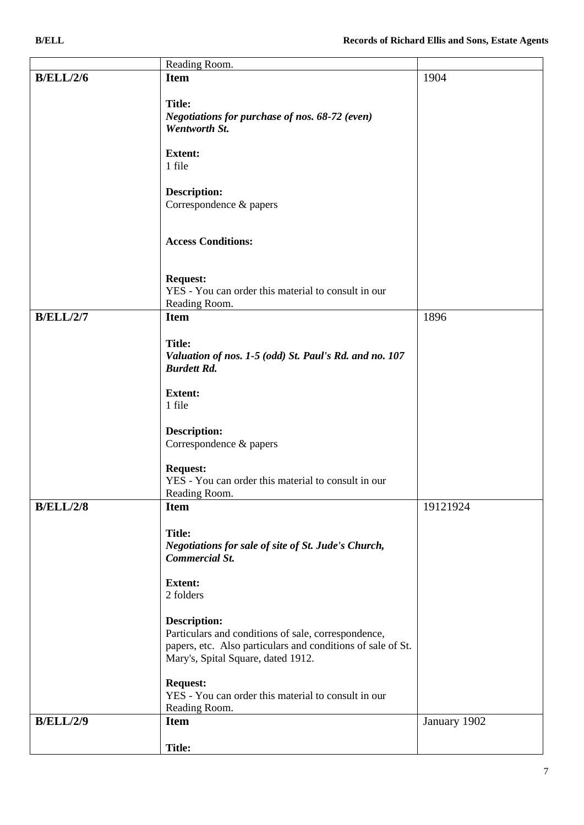|                  | Reading Room.                                                                                                                                                                   |          |
|------------------|---------------------------------------------------------------------------------------------------------------------------------------------------------------------------------|----------|
| <b>B/ELL/2/6</b> | <b>Item</b>                                                                                                                                                                     | 1904     |
|                  | <b>Title:</b><br>Negotiations for purchase of nos. 68-72 (even)<br>Wentworth St.                                                                                                |          |
|                  | <b>Extent:</b><br>1 file                                                                                                                                                        |          |
|                  | <b>Description:</b><br>Correspondence & papers                                                                                                                                  |          |
|                  | <b>Access Conditions:</b>                                                                                                                                                       |          |
|                  | <b>Request:</b><br>YES - You can order this material to consult in our<br>Reading Room.                                                                                         |          |
| <b>B/ELL/2/7</b> | <b>Item</b>                                                                                                                                                                     | 1896     |
|                  | <b>Title:</b><br>Valuation of nos. 1-5 (odd) St. Paul's Rd. and no. 107<br><b>Burdett Rd.</b>                                                                                   |          |
|                  | <b>Extent:</b><br>1 file                                                                                                                                                        |          |
|                  | <b>Description:</b><br>Correspondence & papers                                                                                                                                  |          |
|                  | <b>Request:</b><br>YES - You can order this material to consult in our<br>Reading Room.                                                                                         |          |
| <b>B/ELL/2/8</b> | <b>Item</b>                                                                                                                                                                     | 19121924 |
|                  | <b>Title:</b><br>Negotiations for sale of site of St. Jude's Church,<br><b>Commercial St.</b>                                                                                   |          |
|                  | <b>Extent:</b><br>2 folders                                                                                                                                                     |          |
|                  | <b>Description:</b><br>Particulars and conditions of sale, correspondence,<br>papers, etc. Also particulars and conditions of sale of St.<br>Mary's, Spital Square, dated 1912. |          |
|                  | <b>Request:</b><br>YES - You can order this material to consult in our                                                                                                          |          |

Reading Room.

**Title:**

**B/ELL/2/9 Item**

January 1902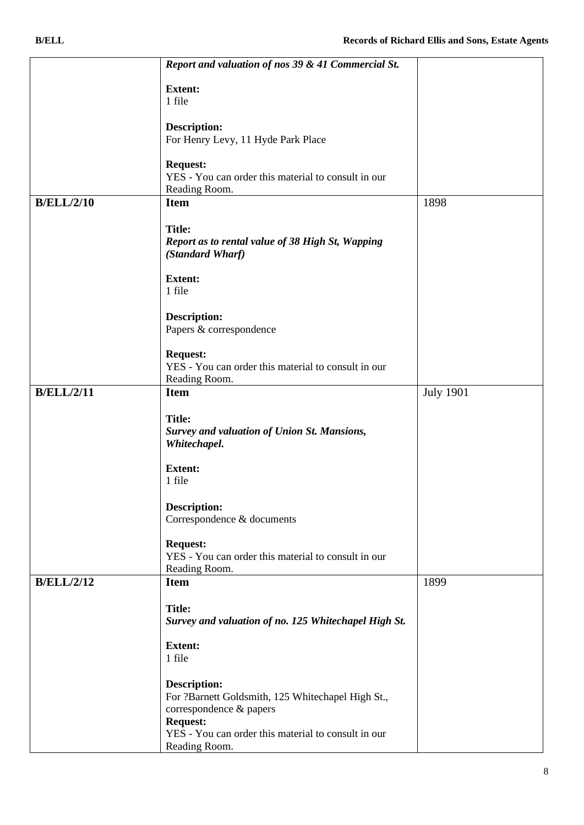|                   | Report and valuation of nos 39 & 41 Commercial St.   |                  |
|-------------------|------------------------------------------------------|------------------|
|                   | <b>Extent:</b>                                       |                  |
|                   | 1 file                                               |                  |
|                   |                                                      |                  |
|                   | <b>Description:</b>                                  |                  |
|                   | For Henry Levy, 11 Hyde Park Place                   |                  |
|                   | <b>Request:</b>                                      |                  |
|                   | YES - You can order this material to consult in our  |                  |
|                   | Reading Room.                                        |                  |
| <b>B/ELL/2/10</b> | <b>Item</b>                                          | 1898             |
|                   | <b>Title:</b>                                        |                  |
|                   | Report as to rental value of 38 High St, Wapping     |                  |
|                   | (Standard Wharf)                                     |                  |
|                   | <b>Extent:</b>                                       |                  |
|                   | 1 file                                               |                  |
|                   |                                                      |                  |
|                   | <b>Description:</b>                                  |                  |
|                   | Papers & correspondence                              |                  |
|                   | <b>Request:</b>                                      |                  |
|                   | YES - You can order this material to consult in our  |                  |
|                   | Reading Room.                                        |                  |
| <b>B/ELL/2/11</b> | <b>Item</b>                                          | <b>July 1901</b> |
|                   | <b>Title:</b>                                        |                  |
|                   | <b>Survey and valuation of Union St. Mansions,</b>   |                  |
|                   | Whitechapel.                                         |                  |
|                   | <b>Extent:</b>                                       |                  |
|                   | 1 file                                               |                  |
|                   |                                                      |                  |
|                   | <b>Description:</b>                                  |                  |
|                   | Correspondence & documents                           |                  |
|                   | <b>Request:</b>                                      |                  |
|                   | YES - You can order this material to consult in our  |                  |
| <b>B/ELL/2/12</b> | Reading Room.<br><b>Item</b>                         | 1899             |
|                   |                                                      |                  |
|                   | <b>Title:</b>                                        |                  |
|                   | Survey and valuation of no. 125 Whitechapel High St. |                  |
|                   | <b>Extent:</b>                                       |                  |
|                   | 1 file                                               |                  |
|                   |                                                      |                  |
|                   | <b>Description:</b>                                  |                  |
|                   | For ?Barnett Goldsmith, 125 Whitechapel High St.,    |                  |
|                   | correspondence & papers<br><b>Request:</b>           |                  |
|                   | YES - You can order this material to consult in our  |                  |
|                   | Reading Room.                                        |                  |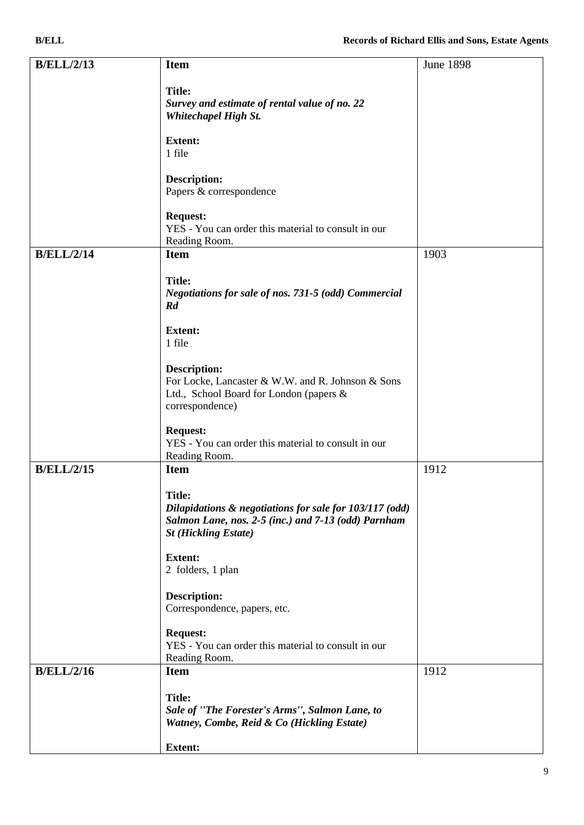| <b>B/ELL/2/13</b> | <b>Item</b>                                                           | <b>June 1898</b> |
|-------------------|-----------------------------------------------------------------------|------------------|
|                   | <b>Title:</b>                                                         |                  |
|                   | Survey and estimate of rental value of no. 22                         |                  |
|                   | <b>Whitechapel High St.</b>                                           |                  |
|                   |                                                                       |                  |
|                   | <b>Extent:</b><br>1 file                                              |                  |
|                   |                                                                       |                  |
|                   | <b>Description:</b>                                                   |                  |
|                   | Papers & correspondence                                               |                  |
|                   | <b>Request:</b>                                                       |                  |
|                   | YES - You can order this material to consult in our                   |                  |
|                   | Reading Room.                                                         |                  |
| <b>B/ELL/2/14</b> | <b>Item</b>                                                           | 1903             |
|                   |                                                                       |                  |
|                   | <b>Title:</b><br>Negotiations for sale of nos. 731-5 (odd) Commercial |                  |
|                   | Rd                                                                    |                  |
|                   |                                                                       |                  |
|                   | <b>Extent:</b><br>1 file                                              |                  |
|                   |                                                                       |                  |
|                   | <b>Description:</b>                                                   |                  |
|                   | For Locke, Lancaster & W.W. and R. Johnson & Sons                     |                  |
|                   | Ltd., School Board for London (papers &                               |                  |
|                   | correspondence)                                                       |                  |
|                   | <b>Request:</b>                                                       |                  |
|                   | YES - You can order this material to consult in our                   |                  |
|                   | Reading Room.                                                         |                  |
| <b>B/ELL/2/15</b> | <b>Item</b>                                                           | 1912             |
|                   | <b>Title:</b>                                                         |                  |
|                   | Dilapidations & negotiations for sale for 103/117 (odd)               |                  |
|                   | Salmon Lane, nos. 2-5 (inc.) and 7-13 (odd) Parnham                   |                  |
|                   | <b>St (Hickling Estate)</b>                                           |                  |
|                   | <b>Extent:</b>                                                        |                  |
|                   | 2 folders, 1 plan                                                     |                  |
|                   |                                                                       |                  |
|                   | <b>Description:</b>                                                   |                  |
|                   | Correspondence, papers, etc.                                          |                  |
|                   | <b>Request:</b>                                                       |                  |
|                   | YES - You can order this material to consult in our                   |                  |
|                   | Reading Room.                                                         |                  |
| <b>B/ELL/2/16</b> | <b>Item</b>                                                           | 1912             |
|                   | <b>Title:</b>                                                         |                  |
|                   | Sale of "The Forester's Arms", Salmon Lane, to                        |                  |
|                   | Watney, Combe, Reid & Co (Hickling Estate)                            |                  |
|                   |                                                                       |                  |
|                   | <b>Extent:</b>                                                        |                  |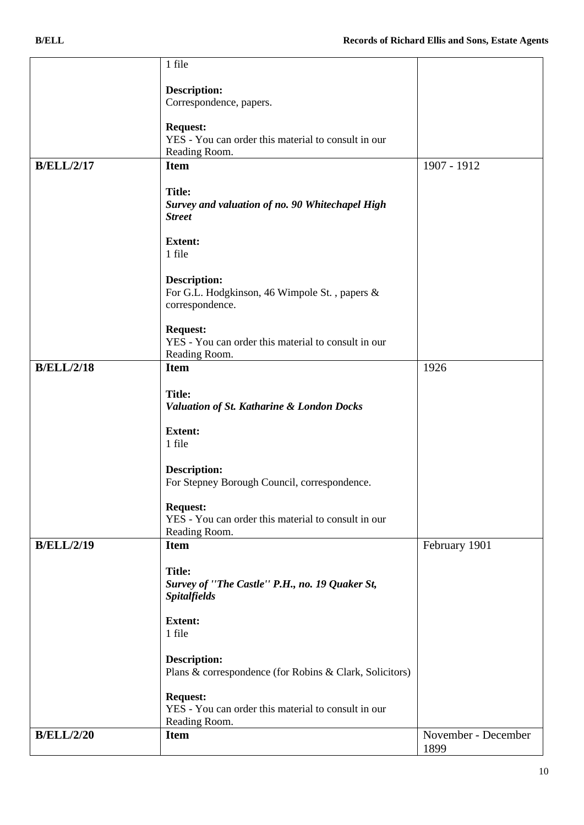|                   | 1 file                                                  |                     |
|-------------------|---------------------------------------------------------|---------------------|
|                   |                                                         |                     |
|                   | <b>Description:</b><br>Correspondence, papers.          |                     |
|                   |                                                         |                     |
|                   | <b>Request:</b>                                         |                     |
|                   | YES - You can order this material to consult in our     |                     |
|                   | Reading Room.                                           |                     |
| <b>B/ELL/2/17</b> | <b>Item</b>                                             | 1907 - 1912         |
|                   |                                                         |                     |
|                   | <b>Title:</b>                                           |                     |
|                   | Survey and valuation of no. 90 Whitechapel High         |                     |
|                   | <b>Street</b>                                           |                     |
|                   |                                                         |                     |
|                   | <b>Extent:</b>                                          |                     |
|                   | 1 file                                                  |                     |
|                   |                                                         |                     |
|                   | <b>Description:</b>                                     |                     |
|                   | For G.L. Hodgkinson, 46 Wimpole St., papers &           |                     |
|                   | correspondence.                                         |                     |
|                   | <b>Request:</b>                                         |                     |
|                   | YES - You can order this material to consult in our     |                     |
|                   | Reading Room.                                           |                     |
| <b>B/ELL/2/18</b> | <b>Item</b>                                             | 1926                |
|                   |                                                         |                     |
|                   | <b>Title:</b>                                           |                     |
|                   | Valuation of St. Katharine & London Docks               |                     |
|                   |                                                         |                     |
|                   | <b>Extent:</b>                                          |                     |
|                   | 1 file                                                  |                     |
|                   |                                                         |                     |
|                   | <b>Description:</b>                                     |                     |
|                   | For Stepney Borough Council, correspondence.            |                     |
|                   | <b>Request:</b>                                         |                     |
|                   | YES - You can order this material to consult in our     |                     |
|                   | Reading Room.                                           |                     |
| <b>B/ELL/2/19</b> | <b>Item</b>                                             | February 1901       |
|                   |                                                         |                     |
|                   | <b>Title:</b>                                           |                     |
|                   | Survey of "The Castle" P.H., no. 19 Quaker St,          |                     |
|                   | <b>Spitalfields</b>                                     |                     |
|                   |                                                         |                     |
|                   | <b>Extent:</b>                                          |                     |
|                   | 1 file                                                  |                     |
|                   |                                                         |                     |
|                   | <b>Description:</b>                                     |                     |
|                   | Plans & correspondence (for Robins & Clark, Solicitors) |                     |
|                   | <b>Request:</b>                                         |                     |
|                   | YES - You can order this material to consult in our     |                     |
|                   | Reading Room.                                           |                     |
| <b>B/ELL/2/20</b> | <b>Item</b>                                             | November - December |
|                   |                                                         | 1899                |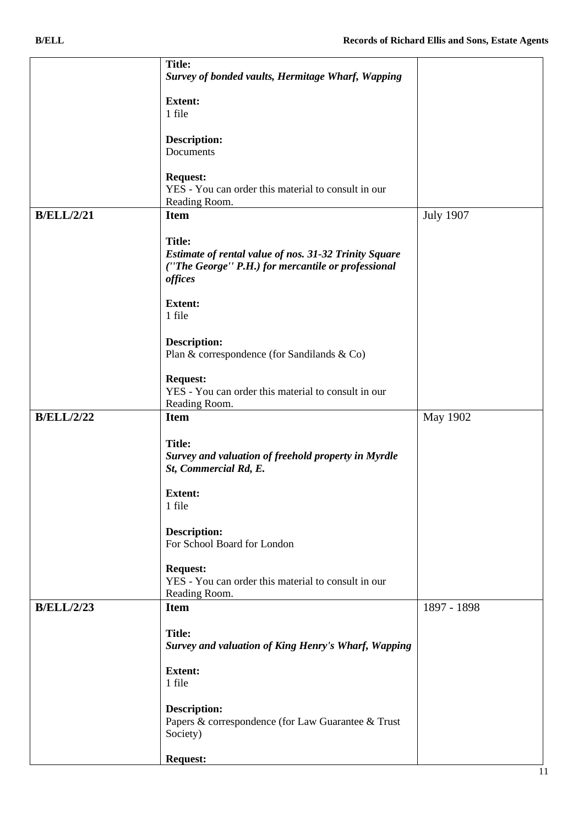|                   | <b>Title:</b>                                                                |                  |
|-------------------|------------------------------------------------------------------------------|------------------|
|                   | Survey of bonded vaults, Hermitage Wharf, Wapping                            |                  |
|                   | <b>Extent:</b>                                                               |                  |
|                   | 1 file                                                                       |                  |
|                   |                                                                              |                  |
|                   | Description:                                                                 |                  |
|                   | Documents                                                                    |                  |
|                   |                                                                              |                  |
|                   | <b>Request:</b><br>YES - You can order this material to consult in our       |                  |
|                   | Reading Room.                                                                |                  |
| <b>B/ELL/2/21</b> | <b>Item</b>                                                                  | <b>July 1907</b> |
|                   |                                                                              |                  |
|                   | <b>Title:</b>                                                                |                  |
|                   | <b>Estimate of rental value of nos. 31-32 Trinity Square</b>                 |                  |
|                   | ("The George" P.H.) for mercantile or professional<br>offices                |                  |
|                   |                                                                              |                  |
|                   | <b>Extent:</b>                                                               |                  |
|                   | 1 file                                                                       |                  |
|                   |                                                                              |                  |
|                   | <b>Description:</b><br>Plan & correspondence (for Sandilands & Co)           |                  |
|                   |                                                                              |                  |
|                   | <b>Request:</b>                                                              |                  |
|                   | YES - You can order this material to consult in our                          |                  |
|                   | Reading Room.                                                                |                  |
| <b>B/ELL/2/22</b> | <b>Item</b>                                                                  | May 1902         |
|                   | <b>Title:</b>                                                                |                  |
|                   |                                                                              |                  |
|                   |                                                                              |                  |
|                   | Survey and valuation of freehold property in Myrdle<br>St, Commercial Rd, E. |                  |
|                   |                                                                              |                  |
|                   | <b>Extent:</b>                                                               |                  |
|                   | 1 file                                                                       |                  |
|                   |                                                                              |                  |
|                   | <b>Description:</b><br>For School Board for London                           |                  |
|                   |                                                                              |                  |
|                   | <b>Request:</b>                                                              |                  |
|                   | YES - You can order this material to consult in our                          |                  |
| <b>B/ELL/2/23</b> | Reading Room.<br><b>Item</b>                                                 | 1897 - 1898      |
|                   |                                                                              |                  |
|                   | <b>Title:</b>                                                                |                  |
|                   | <b>Survey and valuation of King Henry's Wharf, Wapping</b>                   |                  |
|                   |                                                                              |                  |
|                   | <b>Extent:</b><br>1 file                                                     |                  |
|                   |                                                                              |                  |
|                   | <b>Description:</b>                                                          |                  |
|                   | Papers & correspondence (for Law Guarantee & Trust                           |                  |
|                   | Society)                                                                     |                  |
|                   | <b>Request:</b>                                                              |                  |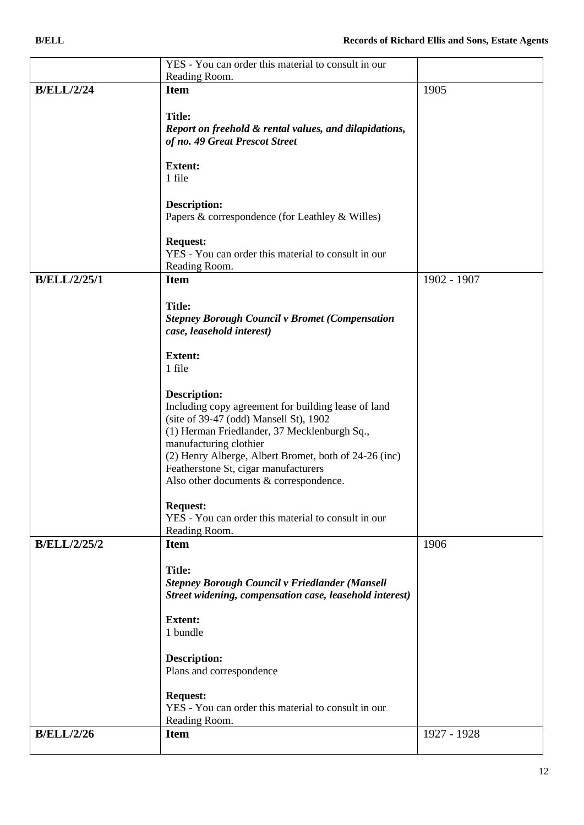|                     | YES - You can order this material to consult in our                             |             |
|---------------------|---------------------------------------------------------------------------------|-------------|
|                     | Reading Room.                                                                   |             |
| <b>B/ELL/2/24</b>   | <b>Item</b>                                                                     | 1905        |
|                     | <b>Title:</b>                                                                   |             |
|                     | Report on freehold & rental values, and dilapidations,                          |             |
|                     | of no. 49 Great Prescot Street                                                  |             |
|                     |                                                                                 |             |
|                     | <b>Extent:</b>                                                                  |             |
|                     | 1 file                                                                          |             |
|                     | Description:                                                                    |             |
|                     | Papers & correspondence (for Leathley & Willes)                                 |             |
|                     |                                                                                 |             |
|                     | <b>Request:</b>                                                                 |             |
|                     | YES - You can order this material to consult in our                             |             |
|                     | Reading Room.                                                                   |             |
| <b>B/ELL/2/25/1</b> | <b>Item</b>                                                                     | 1902 - 1907 |
|                     | <b>Title:</b>                                                                   |             |
|                     | <b>Stepney Borough Council v Bromet (Compensation</b>                           |             |
|                     | case, leasehold interest)                                                       |             |
|                     |                                                                                 |             |
|                     | <b>Extent:</b><br>1 file                                                        |             |
|                     |                                                                                 |             |
|                     | <b>Description:</b>                                                             |             |
|                     | Including copy agreement for building lease of land                             |             |
|                     | (site of 39-47 (odd) Mansell St), 1902                                          |             |
|                     | (1) Herman Friedlander, 37 Mecklenburgh Sq.,                                    |             |
|                     | manufacturing clothier<br>(2) Henry Alberge, Albert Bromet, both of 24-26 (inc) |             |
|                     | Featherstone St, cigar manufacturers                                            |             |
|                     | Also other documents & correspondence.                                          |             |
|                     |                                                                                 |             |
|                     | <b>Request:</b>                                                                 |             |
|                     | YES - You can order this material to consult in our<br>Reading Room.            |             |
| <b>B/ELL/2/25/2</b> | <b>Item</b>                                                                     | 1906        |
|                     |                                                                                 |             |
|                     | <b>Title:</b>                                                                   |             |
|                     | <b>Stepney Borough Council v Friedlander (Mansell</b>                           |             |
|                     | Street widening, compensation case, leasehold interest)                         |             |
|                     | <b>Extent:</b>                                                                  |             |
|                     | 1 bundle                                                                        |             |
|                     |                                                                                 |             |
|                     | <b>Description:</b>                                                             |             |
|                     | Plans and correspondence                                                        |             |
|                     | <b>Request:</b>                                                                 |             |
|                     | YES - You can order this material to consult in our                             |             |
|                     | Reading Room.                                                                   |             |
| <b>B/ELL/2/26</b>   | <b>Item</b>                                                                     | 1927 - 1928 |
|                     |                                                                                 |             |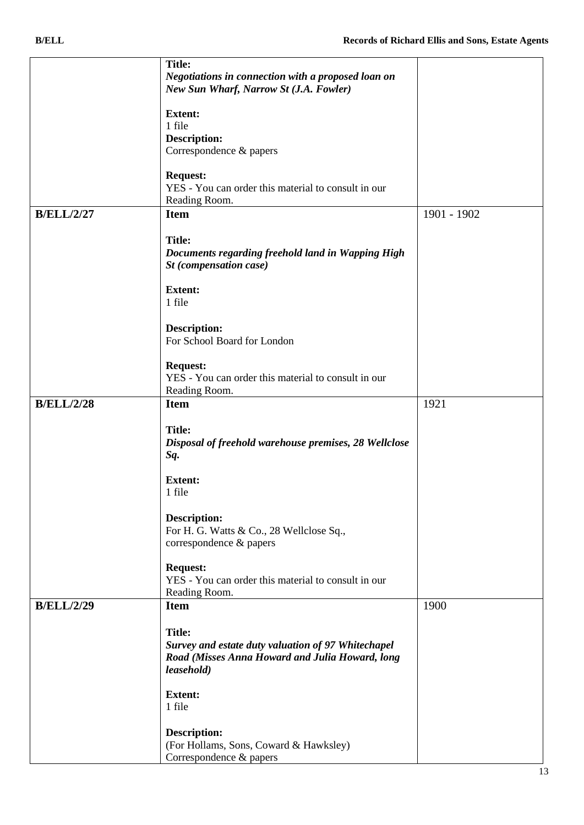|                   | <b>Title:</b>                                         |             |
|-------------------|-------------------------------------------------------|-------------|
|                   | Negotiations in connection with a proposed loan on    |             |
|                   | New Sun Wharf, Narrow St (J.A. Fowler)                |             |
|                   |                                                       |             |
|                   |                                                       |             |
|                   | <b>Extent:</b>                                        |             |
|                   | 1 file                                                |             |
|                   | <b>Description:</b>                                   |             |
|                   | Correspondence & papers                               |             |
|                   |                                                       |             |
|                   | <b>Request:</b>                                       |             |
|                   | YES - You can order this material to consult in our   |             |
|                   | Reading Room.                                         |             |
| <b>B/ELL/2/27</b> | <b>Item</b>                                           | 1901 - 1902 |
|                   |                                                       |             |
|                   | <b>Title:</b>                                         |             |
|                   |                                                       |             |
|                   | Documents regarding freehold land in Wapping High     |             |
|                   | St (compensation case)                                |             |
|                   |                                                       |             |
|                   | <b>Extent:</b>                                        |             |
|                   | 1 file                                                |             |
|                   |                                                       |             |
|                   | <b>Description:</b>                                   |             |
|                   | For School Board for London                           |             |
|                   |                                                       |             |
|                   | <b>Request:</b>                                       |             |
|                   | YES - You can order this material to consult in our   |             |
|                   |                                                       |             |
|                   | Reading Room.                                         |             |
| <b>B/ELL/2/28</b> | <b>Item</b>                                           | 1921        |
|                   |                                                       |             |
|                   | <b>Title:</b>                                         |             |
|                   | Disposal of freehold warehouse premises, 28 Wellclose |             |
|                   | Sq.                                                   |             |
|                   |                                                       |             |
|                   | <b>Extent:</b>                                        |             |
|                   | 1 file                                                |             |
|                   |                                                       |             |
|                   | <b>Description:</b>                                   |             |
|                   | For H. G. Watts & Co., 28 Wellclose Sq.,              |             |
|                   | correspondence & papers                               |             |
|                   |                                                       |             |
|                   |                                                       |             |
|                   | <b>Request:</b>                                       |             |
|                   | YES - You can order this material to consult in our   |             |
|                   | Reading Room.                                         |             |
| <b>B/ELL/2/29</b> | <b>Item</b>                                           | 1900        |
|                   |                                                       |             |
|                   | <b>Title:</b>                                         |             |
|                   | Survey and estate duty valuation of 97 Whitechapel    |             |
|                   | Road (Misses Anna Howard and Julia Howard, long       |             |
|                   | leasehold)                                            |             |
|                   |                                                       |             |
|                   | <b>Extent:</b>                                        |             |
|                   | 1 file                                                |             |
|                   |                                                       |             |
|                   | <b>Description:</b>                                   |             |
|                   |                                                       |             |
|                   | (For Hollams, Sons, Coward & Hawksley)                |             |
|                   | Correspondence & papers                               |             |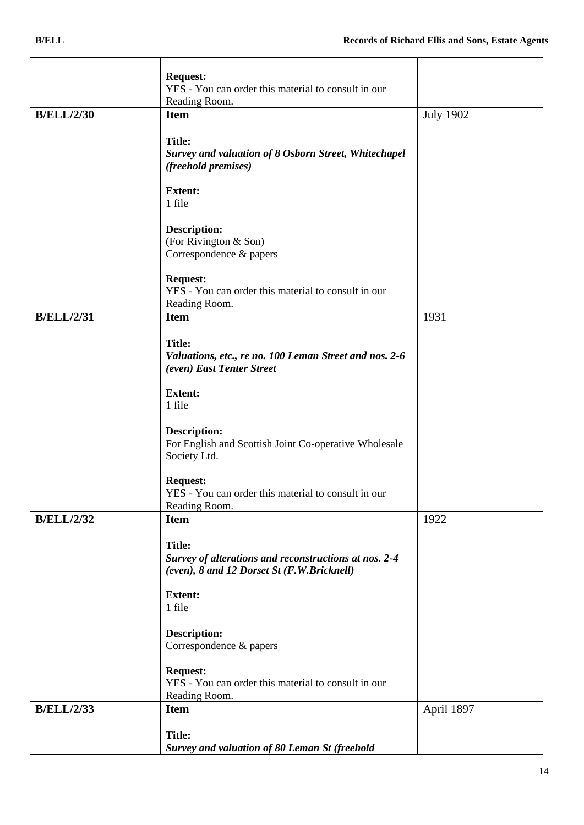|                   | <b>Request:</b>                                                             |                  |
|-------------------|-----------------------------------------------------------------------------|------------------|
|                   | YES - You can order this material to consult in our                         |                  |
|                   | Reading Room.                                                               |                  |
| <b>B/ELL/2/30</b> | <b>Item</b>                                                                 | <b>July 1902</b> |
|                   |                                                                             |                  |
|                   | <b>Title:</b>                                                               |                  |
|                   | Survey and valuation of 8 Osborn Street, Whitechapel<br>(freehold premises) |                  |
|                   |                                                                             |                  |
|                   | <b>Extent:</b>                                                              |                  |
|                   | 1 file                                                                      |                  |
|                   |                                                                             |                  |
|                   | <b>Description:</b>                                                         |                  |
|                   | (For Rivington & Son)<br>Correspondence & papers                            |                  |
|                   |                                                                             |                  |
|                   | <b>Request:</b>                                                             |                  |
|                   | YES - You can order this material to consult in our                         |                  |
|                   | Reading Room.                                                               |                  |
| <b>B/ELL/2/31</b> | <b>Item</b>                                                                 | 1931             |
|                   | <b>Title:</b>                                                               |                  |
|                   | Valuations, etc., re no. 100 Leman Street and nos. 2-6                      |                  |
|                   | (even) East Tenter Street                                                   |                  |
|                   |                                                                             |                  |
|                   | <b>Extent:</b>                                                              |                  |
|                   | 1 file                                                                      |                  |
|                   | <b>Description:</b>                                                         |                  |
|                   | For English and Scottish Joint Co-operative Wholesale                       |                  |
|                   | Society Ltd.                                                                |                  |
|                   |                                                                             |                  |
|                   | <b>Request:</b>                                                             |                  |
|                   | YES - You can order this material to consult in our                         |                  |
| <b>B/ELL/2/32</b> | Reading Room.<br><b>Item</b>                                                | 1922             |
|                   |                                                                             |                  |
|                   | <b>Title:</b>                                                               |                  |
|                   | Survey of alterations and reconstructions at nos. 2-4                       |                  |
|                   | (even), 8 and 12 Dorset St (F.W.Bricknell)                                  |                  |
|                   | <b>Extent:</b>                                                              |                  |
|                   | 1 file                                                                      |                  |
|                   |                                                                             |                  |
|                   | <b>Description:</b>                                                         |                  |
|                   | Correspondence & papers                                                     |                  |
|                   |                                                                             |                  |
|                   | <b>Request:</b><br>YES - You can order this material to consult in our      |                  |
|                   | Reading Room.                                                               |                  |
| <b>B/ELL/2/33</b> | <b>Item</b>                                                                 | April 1897       |
|                   |                                                                             |                  |
|                   | <b>Title:</b>                                                               |                  |
|                   | Survey and valuation of 80 Leman St (freehold                               |                  |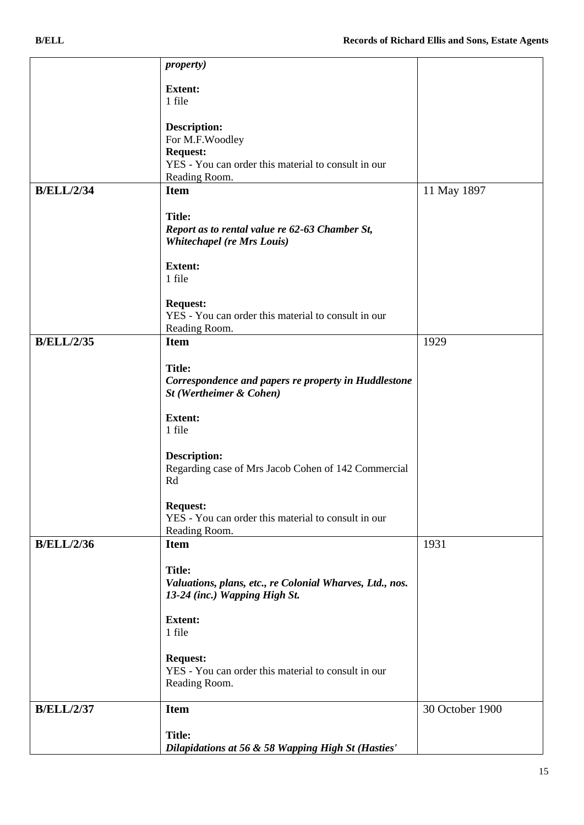|                   | <i>property</i> )                                                               |                 |
|-------------------|---------------------------------------------------------------------------------|-----------------|
|                   | <b>Extent:</b>                                                                  |                 |
|                   | 1 file                                                                          |                 |
|                   |                                                                                 |                 |
|                   | <b>Description:</b>                                                             |                 |
|                   | For M.F.Woodley                                                                 |                 |
|                   | <b>Request:</b>                                                                 |                 |
|                   | YES - You can order this material to consult in our<br>Reading Room.            |                 |
| <b>B/ELL/2/34</b> | <b>Item</b>                                                                     | 11 May 1897     |
|                   |                                                                                 |                 |
|                   | <b>Title:</b>                                                                   |                 |
|                   | Report as to rental value re 62-63 Chamber St,                                  |                 |
|                   | <b>Whitechapel (re Mrs Louis)</b>                                               |                 |
|                   |                                                                                 |                 |
|                   | <b>Extent:</b><br>1 file                                                        |                 |
|                   |                                                                                 |                 |
|                   | <b>Request:</b>                                                                 |                 |
|                   | YES - You can order this material to consult in our                             |                 |
|                   | Reading Room.                                                                   |                 |
| <b>B/ELL/2/35</b> | <b>Item</b>                                                                     | 1929            |
|                   |                                                                                 |                 |
|                   | <b>Title:</b>                                                                   |                 |
|                   | Correspondence and papers re property in Huddlestone<br>St (Wertheimer & Cohen) |                 |
|                   |                                                                                 |                 |
|                   | <b>Extent:</b>                                                                  |                 |
|                   | 1 file                                                                          |                 |
|                   |                                                                                 |                 |
|                   | <b>Description:</b>                                                             |                 |
|                   | Regarding case of Mrs Jacob Cohen of 142 Commercial<br>Rd                       |                 |
|                   |                                                                                 |                 |
|                   | <b>Request:</b>                                                                 |                 |
|                   | YES - You can order this material to consult in our                             |                 |
|                   | Reading Room.                                                                   |                 |
| <b>B/ELL/2/36</b> | <b>Item</b>                                                                     | 1931            |
|                   | <b>Title:</b>                                                                   |                 |
|                   | Valuations, plans, etc., re Colonial Wharves, Ltd., nos.                        |                 |
|                   | 13-24 (inc.) Wapping High St.                                                   |                 |
|                   |                                                                                 |                 |
|                   | <b>Extent:</b>                                                                  |                 |
|                   | 1 file                                                                          |                 |
|                   | <b>Request:</b>                                                                 |                 |
|                   | YES - You can order this material to consult in our                             |                 |
|                   | Reading Room.                                                                   |                 |
|                   |                                                                                 |                 |
| <b>B/ELL/2/37</b> | <b>Item</b>                                                                     | 30 October 1900 |
|                   |                                                                                 |                 |
|                   | <b>Title:</b>                                                                   |                 |
|                   | Dilapidations at 56 & 58 Wapping High St (Hasties'                              |                 |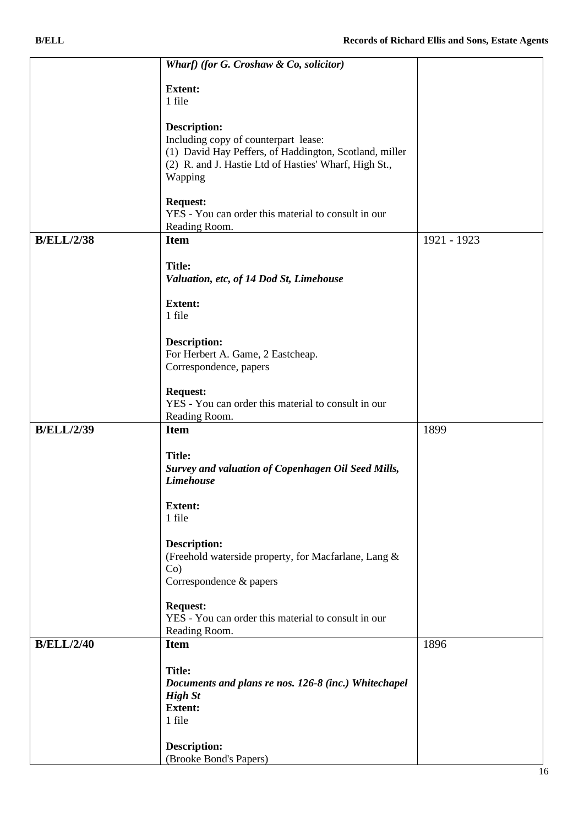|                   | Wharf) (for G. Croshaw & Co, solicitor)                                                                                                                                                   |             |
|-------------------|-------------------------------------------------------------------------------------------------------------------------------------------------------------------------------------------|-------------|
|                   | <b>Extent:</b>                                                                                                                                                                            |             |
|                   | 1 file                                                                                                                                                                                    |             |
|                   | <b>Description:</b><br>Including copy of counterpart lease:<br>(1) David Hay Peffers, of Haddington, Scotland, miller<br>(2) R. and J. Hastie Ltd of Hasties' Wharf, High St.,<br>Wapping |             |
|                   | <b>Request:</b><br>YES - You can order this material to consult in our<br>Reading Room.                                                                                                   |             |
| <b>B/ELL/2/38</b> | <b>Item</b>                                                                                                                                                                               | 1921 - 1923 |
|                   | <b>Title:</b><br>Valuation, etc, of 14 Dod St, Limehouse                                                                                                                                  |             |
|                   | <b>Extent:</b><br>1 file                                                                                                                                                                  |             |
|                   | <b>Description:</b><br>For Herbert A. Game, 2 Eastcheap.<br>Correspondence, papers                                                                                                        |             |
|                   | <b>Request:</b><br>YES - You can order this material to consult in our<br>Reading Room.                                                                                                   |             |
| <b>B/ELL/2/39</b> | <b>Item</b>                                                                                                                                                                               | 1899        |
|                   | <b>Title:</b><br>Survey and valuation of Copenhagen Oil Seed Mills,<br><b>Limehouse</b>                                                                                                   |             |
|                   | <b>Extent:</b><br>1 file                                                                                                                                                                  |             |
|                   | Description:<br>(Freehold waterside property, for Macfarlane, Lang &<br>$Co$ )<br>Correspondence & papers                                                                                 |             |
|                   | <b>Request:</b><br>YES - You can order this material to consult in our<br>Reading Room.                                                                                                   |             |
| <b>B/ELL/2/40</b> | <b>Item</b>                                                                                                                                                                               | 1896        |
|                   | <b>Title:</b><br>Documents and plans re nos. 126-8 (inc.) Whitechapel<br><b>High St</b><br><b>Extent:</b><br>1 file                                                                       |             |
|                   | Description:<br>(Brooke Bond's Papers)                                                                                                                                                    |             |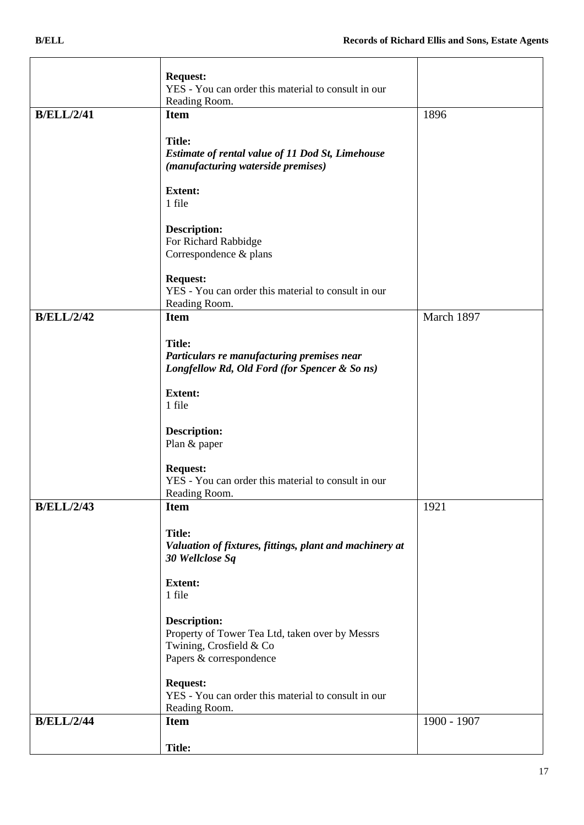|                   | <b>Request:</b><br>YES - You can order this material to consult in our |             |
|-------------------|------------------------------------------------------------------------|-------------|
|                   | Reading Room.                                                          |             |
| <b>B/ELL/2/41</b> | <b>Item</b>                                                            | 1896        |
|                   | <b>Title:</b>                                                          |             |
|                   | Estimate of rental value of 11 Dod St, Limehouse                       |             |
|                   | (manufacturing waterside premises)                                     |             |
|                   | <b>Extent:</b>                                                         |             |
|                   | 1 file                                                                 |             |
|                   | <b>Description:</b>                                                    |             |
|                   | For Richard Rabbidge                                                   |             |
|                   | Correspondence & plans                                                 |             |
|                   | <b>Request:</b>                                                        |             |
|                   | YES - You can order this material to consult in our                    |             |
|                   | Reading Room.                                                          |             |
| <b>B/ELL/2/42</b> | <b>Item</b>                                                            | March 1897  |
|                   | <b>Title:</b>                                                          |             |
|                   | Particulars re manufacturing premises near                             |             |
|                   | Longfellow Rd, Old Ford (for Spencer & So ns)                          |             |
|                   | <b>Extent:</b>                                                         |             |
|                   | 1 file                                                                 |             |
|                   | <b>Description:</b>                                                    |             |
|                   | Plan & paper                                                           |             |
|                   | <b>Request:</b>                                                        |             |
|                   | YES - You can order this material to consult in our                    |             |
|                   | Reading Room.                                                          |             |
| <b>B/ELL/2/43</b> | <b>Item</b>                                                            | 1921        |
|                   | <b>Title:</b>                                                          |             |
|                   | Valuation of fixtures, fittings, plant and machinery at                |             |
|                   | 30 Wellclose Sq                                                        |             |
|                   | <b>Extent:</b>                                                         |             |
|                   | 1 file                                                                 |             |
|                   | <b>Description:</b>                                                    |             |
|                   | Property of Tower Tea Ltd, taken over by Messrs                        |             |
|                   | Twining, Crosfield & Co                                                |             |
|                   | Papers & correspondence                                                |             |
|                   | <b>Request:</b>                                                        |             |
|                   | YES - You can order this material to consult in our                    |             |
|                   | Reading Room.                                                          |             |
| <b>B/ELL/2/44</b> | <b>Item</b>                                                            | 1900 - 1907 |
|                   | <b>Title:</b>                                                          |             |